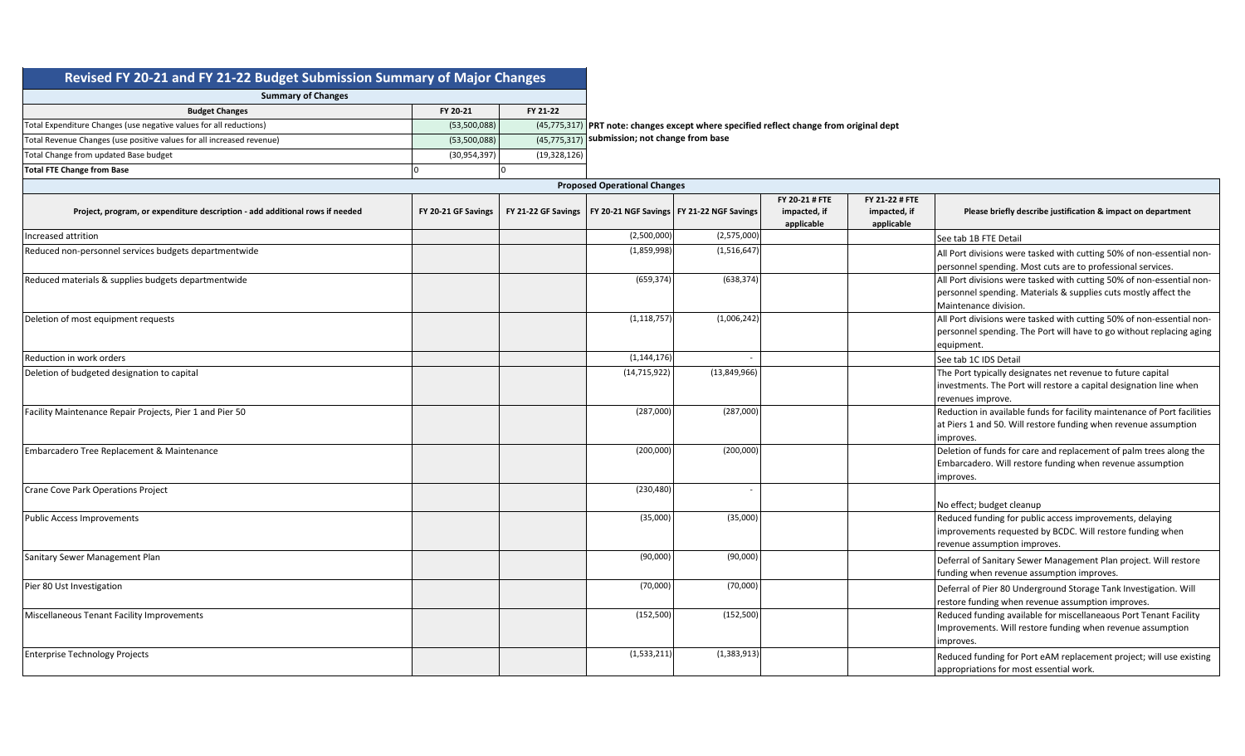| Revised FY 20-21 and FY 21-22 Budget Submission Summary of Major Changes |  |
|--------------------------------------------------------------------------|--|
|--------------------------------------------------------------------------|--|

| <b>Summary of Changes</b>                                             |                |              |                                                                                           |
|-----------------------------------------------------------------------|----------------|--------------|-------------------------------------------------------------------------------------------|
| <b>Budget Changes</b>                                                 | FY 20-21       | FY 21-22     |                                                                                           |
| Total Expenditure Changes (use negative values for all reductions)    | (53,500,088)   |              | $(45,775,317)$ PRT note: changes except where specified reflect change from original dept |
| Total Revenue Changes (use positive values for all increased revenue) | (53,500,088)   |              | (45,775,317) submission; not change from base                                             |
| Total Change from updated Base budget                                 | (30, 954, 397) | (19,328,126) |                                                                                           |
| <b>Total FTE Change from Base</b>                                     |                |              |                                                                                           |

|                                                                              |                     | <b>Proposed Operational Changes</b>                               |               |                                              |                                              |                                                                                                                                                                   |
|------------------------------------------------------------------------------|---------------------|-------------------------------------------------------------------|---------------|----------------------------------------------|----------------------------------------------|-------------------------------------------------------------------------------------------------------------------------------------------------------------------|
| Project, program, or expenditure description - add additional rows if needed | FY 20-21 GF Savings | FY 21-22 GF Savings   FY 20-21 NGF Savings   FY 21-22 NGF Savings |               | FY 20-21 # FTE<br>impacted, if<br>applicable | FY 21-22 # FTE<br>impacted, if<br>applicable | Please briefly describe justification & impact on department                                                                                                      |
| Increased attrition                                                          |                     | (2,500,000)                                                       | (2,575,000)   |                                              |                                              | See tab 1B FTE Detail                                                                                                                                             |
| Reduced non-personnel services budgets departmentwide                        |                     | (1,859,998)                                                       | (1,516,647)   |                                              |                                              | All Port divisions were tasked with cutting 50% of non-essential non-<br>personnel spending. Most cuts are to professional services.                              |
| Reduced materials & supplies budgets departmentwide                          |                     | (659, 374)                                                        | (638, 374)    |                                              |                                              | All Port divisions were tasked with cutting 50% of non-essential non-<br>personnel spending. Materials & supplies cuts mostly affect the<br>Maintenance division. |
| Deletion of most equipment requests                                          |                     | (1, 118, 757)                                                     | (1,006,242)   |                                              |                                              | All Port divisions were tasked with cutting 50% of non-essential non-<br>personnel spending. The Port will have to go without replacing aging<br>equipment.       |
| Reduction in work orders                                                     |                     | (1, 144, 176)                                                     |               |                                              |                                              | See tab 1C IDS Detail                                                                                                                                             |
| Deletion of budgeted designation to capital                                  |                     | (14, 715, 922)                                                    | (13,849,966)  |                                              |                                              | The Port typically designates net revenue to future capital<br>investments. The Port will restore a capital designation line when<br>revenues improve.            |
| Facility Maintenance Repair Projects, Pier 1 and Pier 50                     |                     | (287,000)                                                         | (287,000)     |                                              |                                              | Reduction in available funds for facility maintenance of Port facilities<br>at Piers 1 and 50. Will restore funding when revenue assumption<br>improves.          |
| Embarcadero Tree Replacement & Maintenance                                   |                     | (200,000)                                                         | (200,000)     |                                              |                                              | Deletion of funds for care and replacement of palm trees along the<br>Embarcadero. Will restore funding when revenue assumption<br>improves.                      |
| Crane Cove Park Operations Project                                           |                     | (230, 480)                                                        |               |                                              |                                              | No effect; budget cleanup                                                                                                                                         |
| Public Access Improvements                                                   |                     | (35,000)                                                          | (35,000)      |                                              |                                              | Reduced funding for public access improvements, delaying<br>improvements requested by BCDC. Will restore funding when<br>revenue assumption improves.             |
| Sanitary Sewer Management Plan                                               |                     | (90,000)                                                          | (90,000)      |                                              |                                              | Deferral of Sanitary Sewer Management Plan project. Will restore<br>funding when revenue assumption improves.                                                     |
| Pier 80 Ust Investigation                                                    |                     | (70,000)                                                          | (70,000)      |                                              |                                              | Deferral of Pier 80 Underground Storage Tank Investigation. Will<br>restore funding when revenue assumption improves.                                             |
| Miscellaneous Tenant Facility Improvements                                   |                     | (152, 500)                                                        | (152, 500)    |                                              |                                              | Reduced funding available for miscellaneaous Port Tenant Facility<br>Improvements. Will restore funding when revenue assumption<br>improves.                      |
| <b>Enterprise Technology Projects</b>                                        |                     | (1,533,211)                                                       | (1, 383, 913) |                                              |                                              | Reduced funding for Port eAM replacement project; will use existing<br>appropriations for most essential work.                                                    |